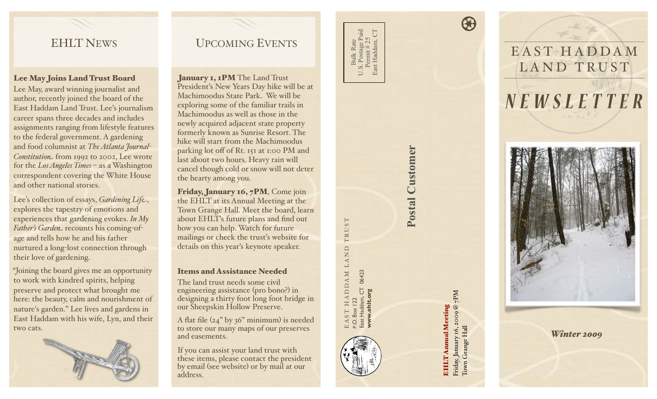## EHLT NEWS

### Lee May Joins Land Trust Board

Lee May, award winning journalist and author, recently joined the board of the East Haddam Land Trust. Lee's journalism career spans three decades and includes assignments ranging from lifestyle features to the federal government. A gardening and food columnist at *The Atlanta Journal!* Constitution<sub>-</sub> from 1992 to 2002, Lee wrote for the *Los Angeles Times* – as a Washington correspondent covering the White House and other national stories.

Lee's collection of essays, *Gardening Life*, explores the tapestry of emotions and experiences that gardening evokes. *In My Father's Garden* recounts his coming-ofage and tells how he and his father nurtured a long-lost connection through their love of gardening.

"Joining the board gives me an opportunity to work with kindred spirits, helping preserve and protect what brought me here: the beauty, calm and nourishment of nature's garden." Lee lives and gardens in East Haddam with his wife, Lyn, and their two cats.



# UPCOMING EVENTS

January 1, 1PM The Land Trust President's New Years Day hike will be at Machimoodus State Park. We will be exploring some of the familiar trails in Machimoodus as well as those in the newly acquired adjacent state property formerly known as Sunrise Resort. The hike will start from the Machimoodus parking lot off of Rt. 151 at 1:00 PM and last about two hours. Heavy rain will cancel though cold or snow will not deter the hearty among you.

Friday, January 16, 7PM, Come join the EHLT at its Annual Meeting at the Town Grange Hall. Meet the board, learn about EHLT's future plans and find out how you can help. Watch for future mailings or check the trust's website for details on this year's keynote speaker.

### Items and Assistance Needed

The land trust needs some civil engineering assistance (pro bono?) in designing a thirty foot long foot bridge in our Sheepskin Hollow Preserve.

A flat file  $(24)$ " by 36" minimum) is needed to store our many maps of our preserves and easements.

If you can assist your land trust with these items, please contact the president by email (see website) or by mail at our address.

U.S. Postage Paid<br>Permit # 25<br>East Haddam, CT U.S. Postage Paid East Haddam, CT Permit # 25 **Bulk Rate** Bulk Rate  $S_{\text{A}}$ 

E A S T H A D D A M L A N D T R U S T

 $\begin{array}{c} {\rm H}\, {\rm A}\, {\rm D}\, {\rm D}\, {\rm A}\, {\rm M}\, \, \, {\rm L}\, {\rm A}\, {\rm N}\, {\rm D} \\ {\rm I}\, {\rm 2}\, \end{array}$ 

TRUST

P.O. Box 122

East Haddam, CT 06423 **[www.ehlt.org](http://www.ehlt.org)**

 $EAST HADDAM I$ <br>P.O. Box 122<br>East Haddam, CT 06423<br>WWW.ehlt.org

# Postal Customer **Postal Customer**

Friday, January 16, 2009 @ 7PM Friday, January 16, 2009 @ 7PM<br>Town Grange Hall **EHLT Annual Meeting** EHLT Annual Meeting Town Grange Hall

 $\bigcirc$ 





*Winter 2009*